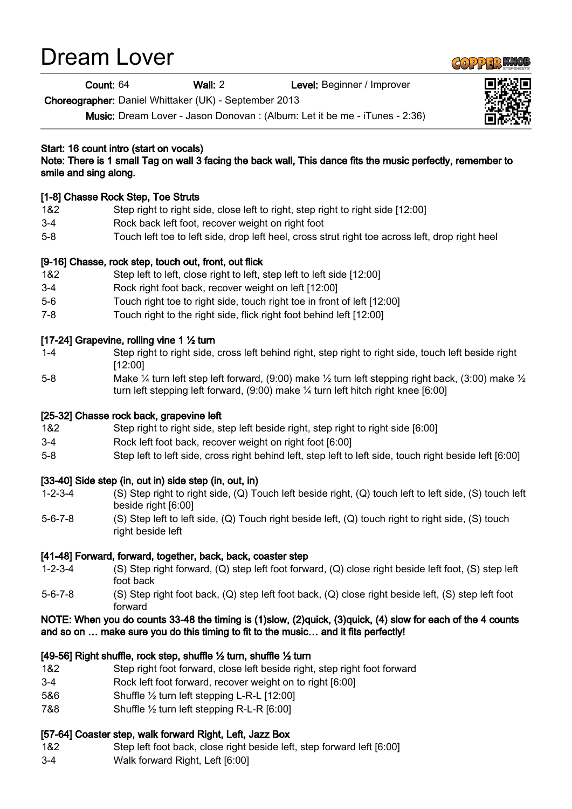# Dream Lover

Count: 64 Wall: 2 Level: Beginner / Improver

Choreographer: Daniel Whittaker (UK) - September 2013

Music: Dream Lover - Jason Donovan : (Album: Let it be me - iTunes - 2:36)

# Start: 16 count intro (start on vocals)

Note: There is 1 small Tag on wall 3 facing the back wall, This dance fits the music perfectly, remember to smile and sing along.

# [1-8] Chasse Rock Step, Toe Struts

- 1&2 Step right to right side, close left to right, step right to right side [12:00]
- 3-4 Rock back left foot, recover weight on right foot
- 5-8 Touch left toe to left side, drop left heel, cross strut right toe across left, drop right heel

## [9-16] Chasse, rock step, touch out, front, out flick

- 1&2 Step left to left, close right to left, step left to left side [12:00]
- 3-4 Rock right foot back, recover weight on left [12:00]
- 5-6 Touch right toe to right side, touch right toe in front of left [12:00]
- 7-8 Touch right to the right side, flick right foot behind left [12:00]

## [17-24] Grapevine, rolling vine 1 ½ turn

- 1-4 Step right to right side, cross left behind right, step right to right side, touch left beside right [12:00]
- 5-8 Make ¼ turn left step left forward, (9:00) make ½ turn left stepping right back, (3:00) make ½ turn left stepping left forward, (9:00) make ¼ turn left hitch right knee [6:00]

## [25-32] Chasse rock back, grapevine left

- 1&2 Step right to right side, step left beside right, step right to right side [6:00]
- 3-4 Rock left foot back, recover weight on right foot [6:00]
- 5-8 Step left to left side, cross right behind left, step left to left side, touch right beside left [6:00]

## [33-40] Side step (in, out in) side step (in, out, in)

- 1-2-3-4 (S) Step right to right side, (Q) Touch left beside right, (Q) touch left to left side, (S) touch left beside right [6:00]
- 5-6-7-8 (S) Step left to left side, (Q) Touch right beside left, (Q) touch right to right side, (S) touch right beside left

## [41-48] Forward, forward, together, back, back, coaster step

- 1-2-3-4 (S) Step right forward, (Q) step left foot forward, (Q) close right beside left foot, (S) step left foot back
- 5-6-7-8 (S) Step right foot back, (Q) step left foot back, (Q) close right beside left, (S) step left foot forward

#### NOTE: When you do counts 33-48 the timing is (1)slow, (2)quick, (3)quick, (4) slow for each of the 4 counts and so on … make sure you do this timing to fit to the music… and it fits perfectly!

## [49-56] Right shuffle, rock step, shuffle ½ turn, shuffle ½ turn

- 1&2 Step right foot forward, close left beside right, step right foot forward
- 3-4 Rock left foot forward, recover weight on to right [6:00]
- 5&6 Shuffle ½ turn left stepping L-R-L [12:00]
- 7&8 Shuffle ½ turn left stepping R-L-R [6:00]

#### [57-64] Coaster step, walk forward Right, Left, Jazz Box

- 1&2 Step left foot back, close right beside left, step forward left [6:00]
- 3-4 Walk forward Right, Left [6:00]